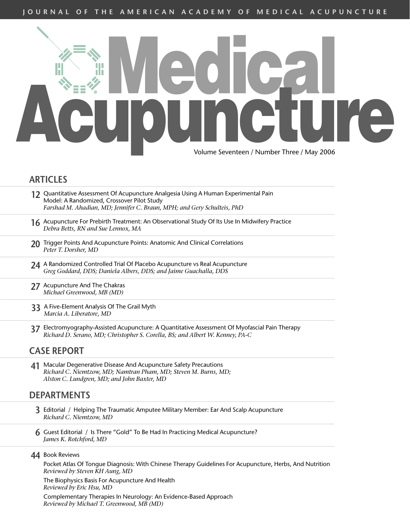

## **ARTICLES**

- **12** Quantitative Assessment Of Acupuncture Analgesia Using A Human Experimental Pain Model: A Randomized, Crossover Pilot Study *Farshad M. Ahadian, MD; Jennifer C. Braun, MPH; and Gery Schulteis, PhD*
- **16** Acupuncture For Prebirth Treatment: An Observational Study Of Its Use In Midwifery Practice *Debra Betts, RN and Sue Lennox, MA*
- 20 Trigger Points And Acupuncture Points: Anatomic And Clinical Correlations *Peter T. Dorsher, MD*
- **24** A Randomized Controlled Trial Of Placebo Acupuncture vs Real Acupuncture *Greg Goddard, DDS; Daniela Albers, DDS; and Jaime Guachalla, DDS*
- **27** Acupuncture And The Chakras *Michael Greenwood, MB (MD)*
- **33** A Five-Element Analysis Of The Grail Myth *Marcia A. Liberatore, MD*
- **37** Electromyography-Assisted Acupuncture: A Quantitative Assessment Of Myofascial Pain Therapy *Richard D. Serano, MD; Christopher S. Corella, BS; and Albert W. Kenney, PA-C*

## **CASE REPORT**

**41** Macular Degenerative Disease And Acupuncture Safety Precautions *Richard C. Niemtzow, MD; Namtran Pham, MD; Steven M. Burns, MD; Alston C. Lundgren, MD; and John Baxter, MD*

### **DEPARTMENTS**

- **3** Editorial / Helping The Traumatic Amputee Military Member: Ear And Scalp Acupuncture *Richard C. Niemtzow, MD*
- **6** Guest Editorial / Is There "Gold" To Be Had In Practicing Medical Acupuncture? *James K. Rotchford, MD*
- **44** Book Reviews

Pocket Atlas Of Tongue Diagnosis: With Chinese Therapy Guidelines For Acupuncture, Herbs, And Nutrition *Reviewed by Steven KH Aung, MD*

The Biophysics Basis For Acupuncture And Health *Reviewed by Eric Hsu, MD*

Complementary Therapies In Neurology: An Evidence-Based Approach *Reviewed by Michael T. Greenwood, MB (MD)*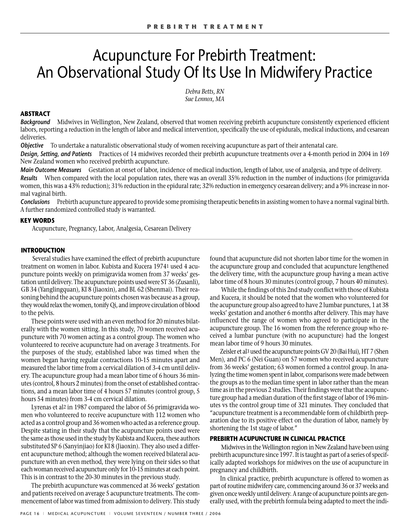# Acupuncture For Prebirth Treatment: An Observational Study Of Its Use In Midwifery Practice

*Debra Betts, RN Sue Lennox, MA*

#### **ABSTRACT**

*Background* Midwives in Wellington, New Zealand, observed that women receiving prebirth acupuncture consistently experienced efficient labors, reporting a reduction in the length of labor and medical intervention, specifically the use of epidurals, medical inductions, and cesarean deliveries.

*Objective* To undertake a naturalistic observational study of women receiving acupuncture as part of their antenatal care.

*Design, Setting, and Patients* Practices of 14 midwives recorded their prebirth acupuncture treatments over a 4-month period in 2004 in 169 New Zealand women who received prebirth acupuncture.

*Main Outcome Measures* Gestation at onset of labor, incidence of medical induction, length of labor, use of analgesia, and type of delivery. *Results* When compared with the local population rates, there was an overall 35% reduction in the number of inductions (for primigravida women, this was a 43% reduction); 31% reduction in the epidural rate; 32% reduction in emergency cesarean delivery; and a 9% increase in normal vaginal birth.

*Conclusions* Prebirth acupuncture appeared to provide some promising therapeutic benefits in assisting women to have a normal vaginal birth. A further randomized controlled study is warranted.

#### **KEY WORDS**

Acupuncture, Pregnancy, Labor, Analgesia, Cesarean Delivery

#### **INTRODUCTION**

Several studies have examined the effect of prebirth acupuncture treatment on women in labor. Kubista and Kucera 19741 used 4 acupuncture points weekly on primigravida women from 37 weeks' gestation until delivery. The acupuncture points used were ST 36 (Zusanli), GB 34 (Yanglingquan), KI 8 (Jiaoxin), and BL 62 (Shenmai). Their reasoning behind the acupuncture points chosen was because as a group, they would relax the women, tonify Qi, and improve circulation of blood to the pelvis.

These points were used with an even method for 20 minutes bilaterally with the women sitting. In this study, 70 women received acupuncture with 70 women acting as a control group. The women who volunteered to receive acupuncture had on average 3 treatments. For the purposes of the study, established labor was timed when the women began having regular contractions 10-15 minutes apart and measured the labor time from a cervical dilation of 3-4 cm until delivery. The acupuncture group had a mean labor time of 6 hours 36 minutes (control, 8 hours 2 minutes) from the onset of established contractions, and a mean labor time of 4 hours 57 minutes (control group, 5 hours 54 minutes) from 3-4 cm cervical dilation.

Lyrenas et al2 in 1987 compared the labor of 56 primigravida women who volunteered to receive acupuncture with 112 women who acted as a control group and 36 women who acted as a reference group. Despite stating in their study that the acupuncture points used were the same as those used in the study by Kubista and Kucera, these authors substituted SP 6 (Sanyinjiao) for KI 8 (Jiaoxin). They also used a different acupuncture method; although the women received bilateral acupuncture with an even method, they were lying on their sides so that each woman received acupuncture only for 10-15 minutes at each point. This is in contrast to the 20-30 minutes in the previous study.

The prebirth acupuncture was commenced at 36 weeks' gestation and patients received on average 5 acupuncture treatments. The commencement of labor was timed from admission to delivery. This study found that acupuncture did not shorten labor time for the women in the acupuncture group and concluded that acupuncture lengthened the delivery time, with the acupuncture group having a mean active labor time of 8 hours 30 minutes (control group, 7 hours 40 minutes).

While the findings of this 2nd study conflict with those of Kubista and Kucera, it should be noted that the women who volunteered for the acupuncture group also agreed to have 2 lumbar punctures, 1 at 38 weeks' gestation and another 6 months after delivery. This may have influenced the range of women who agreed to participate in the acupuncture group. The 16 women from the reference group who received a lumbar puncture (with no acupuncture) had the longest mean labor time of 9 hours 30 minutes.

Zeisler et al3 used the acupuncture points GV 20 (Bai Hui), HT 7 (Shen Men), and PC 6 (Nei Guan) on 57 women who received acupuncture from 36 weeks' gestation; 63 women formed a control group. In analyzing the time women spent in labor, comparisons were made between the groups as to the median time spent in labor rather than the mean time as in the previous 2 studies. Their findings were that the acupuncture group had a median duration of the first stage of labor of 196 minutes vs the control group time of 321 minutes. They concluded that "acupuncture treatment is a recommendable form of childbirth preparation due to its positive effect on the duration of labor, namely by shortening the 1st stage of labor."

#### **PREBIRTH ACUPUNCTURE IN CLINICAL PRACTICE**

Midwives in the Wellington region in New Zealand have been using prebirth acupuncture since 1997. It is taught as part of a series of specifically adapted workshops for midwives on the use of acupuncture in pregnancy and childbirth.

In clinical practice, prebirth acupuncture is offered to women as part of routine midwifery care, commencing around 36 or 37 weeks and given once weekly until delivery. A range of acupuncture points are generally used, with the prebirth formula being adapted to meet the indi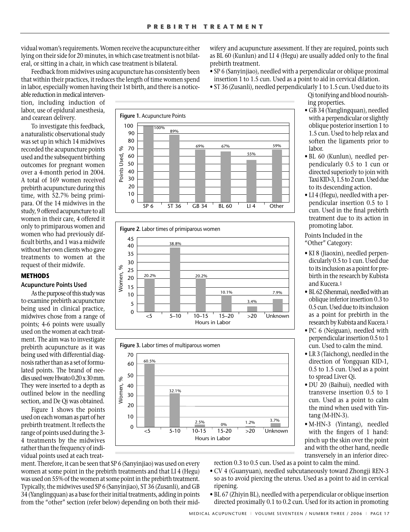vidual woman's requirements. Women receive the acupuncture either lying on their side for 20 minutes, in which case treatment is not bilateral, or sitting in a chair, in which case treatment is bilateral.

Feedback from midwives using acupuncture has consistently been that within their practices, it reduces the length of time women spend in labor, especially women having their 1st birth, and there is a notice-

wifery and acupuncture assessment. If they are required, points such as BL 60 (Kunlun) and LI 4 (Hegu) are usually added only to the final prebirth treatment.

- SP 6 (Sanyinjiao), needled with a perpendicular or oblique proximal insertion 1 to 1.5 cun. Used as a point to aid in cervical dilation.
- ST 36 (Zusanli), needled perpendicularly 1 to 1.5 cun. Used due to its

able reduction in medical intervention, including induction of labor, use of epidural anesthesia, and cearean delivery.

To investigate this feedback, a naturalistic observational study was set up in which 14 midwives recorded the acupuncture points used and the subsequent birthing outcomes for pregnant women over a 4-month period in 2004. A total of 169 women received prebirth acupuncture during this time, with 52.7% being primipara. Of the 14 midwives in the study, 9 offered acupuncture to all women in their care, 4 offered it only to primiparous women and women who had previously difficult births, and 1 was a midwife without her own clients who gave treatments to women at the request of their midwife.

#### **METHODS**

#### **Acupuncture Points Used**

As the purpose of this study was to examine prebirth acupuncture being used in clinical practice, midwives chose from a range of points; 4-6 points were usually used on the women at each treatment. The aim was to investigate prebirth acupuncture as it was being used with differential diagnosis rather than as a set of formulated points. The brand of needles used were Hwato 0.20 x 30 mm. They were inserted to a depth as outlined below in the needling section, and De Qi was obtained.

Figure 1 shows the points used on each woman as part of her prebirth treatment. It reflects the range of points used during the 3- 4 treatments by the midwives rather than the frequency of individual points used at each treat-







ment. Therefore, it can be seen that SP 6 (Sanyinjiao) was used on every women at some point in the prebirth treatments and that LI 4 (Hegu) was used on 55% of the women at some point in the prebirth treatment. Typically, the midwives used SP 6 (Sanyinjiao), ST 36 (Zusanli), and GB 34 (Yanglingquan) as a base for their initial treatments, adding in points from the "other" section (refer below) depending on both their midQi tonifying and blood nourishing properties.

- GB 34 (Yanglingquan), needled with a perpendicular or slightly oblique posterior insertion 1 to 1.5 cun. Used to help relax and soften the ligaments prior to labor.
- BL 60 (Kunlun), needled perpendicularly 0.5 to 1 cun or directed superiorly to join with Taxi KID-3, 1.5 to 2 cun. Used due to its descending action.
- LI 4 (Hegu), needled with a perpendicular insertion 0.5 to 1 cun. Used in the final prebirth treatment due to its action in promoting labor.

Points Included in the "Other" Category:

- KI 8 (Jiaoxin), needled perpendicularly 0.5 to 1 cun. Used due to its inclusion as a point for prebirth in the research by Kubista and Kucera.1
- BL 62 (Shenmai), needled with an oblique inferior insertion 0.3 to 0.5 cun. Used due to its inclusion as a point for prebirth in the research by Kubista and Kucera.1
- PC 6 (Neiguan), needled with perpendicular insertion 0.5 to 1 cun. Used to calm the mind.
- LR 3 (Taichong), needled in the direction of Yongquan KID-1, 0.5 to 1.5 cun. Used as a point to spread Liver Qi.
- DU 20 (Baihui), needled with transverse insertion 0.5 to 1 cun. Used as a point to calm the mind when used with Yintang (M-HN-3).
- M-HN-3 (Yintang), needled with the fingers of 1 hand: pinch up the skin over the point and with the other hand, needle transversely in an inferior direc-

rection 0.3 to 0.5 cun. Used as a point to calm the mind.

- CV 4 (Guanyuan), needled subcutaneously toward Zhongji REN-3 so as to avoid piercing the uterus. Used as a point to aid in cervical ripening.
- BL 67 (Zhiyin BL), needled with a perpendicular or oblique insertion directed proximally 0.1 to 0.2 cun. Used for its action in promoting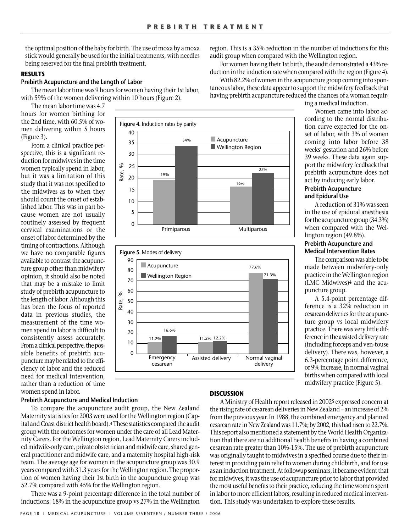the optimal position of the baby for birth. The use of moxa by a moxa stick would generally be used for the initial treatments, with needles being reserved for the final prebirth treatment.

#### **RESULTS**

#### **Prebirth Acupuncture and the Length of Labor**

The mean labor time was 9 hours for women having their 1st labor, with 59% of the women delivering within 10 hours (Figure 2).

The mean labor time was 4.7 hours for women birthing for the 2nd time, with 60.5% of women delivering within 5 hours (Figure 3).

From a clinical practice perspective, this is a significant reduction for midwives in the time women typically spend in labor, but it was a limitation of this study that it was not specified to the midwives as to when they should count the onset of established labor. This was in part because women are not usually routinely assessed by frequent cervical examinations or the onset of labor determined by the timing of contractions. Although we have no comparable figures available to contrast the acupuncture group other than midwifery opinion, it should also be noted that may be a mistake to limit study of prebirth acupuncture to the length of labor. Although this has been the focus of reported data in previous studies, the measurement of the time women spend in labor is difficult to consistently assess accurately. From a clinical perspective, the possible benefits of prebirth acupuncture may be related to the efficiency of labor and the reduced need for medical intervention, rather than a reduction of time women spend in labor.

#### **Prebirth Acupuncture and Medical Induction**

To compare the acupuncture audit group, the New Zealand Maternity statistics for 2003 were used for the Wellington region (Capital and Coast district health board).4 These statistics compared the audit group with the outcomes for women under the care of all Lead Maternity Carers. For the Wellington region, Lead Maternity Carers included midwife-only care, private obstetrician and midwife care, shared general practitioner and midwife care, and a maternity hospital high-risk team. The average age for women in the acupuncture group was 30.9 years compared with 31.3 years for the Wellington region. The proportion of women having their 1st birth in the acupuncture group was 52.7% compared with 45% for the Wellington region.

There was a 9-point percentage difference in the total number of inductions: 18% in the acupuncture group vs 27% in the Wellington





#### **DISCUSSION**

A Ministry of Health report released in 20025 expressed concern at the rising rate of cesarean deliveries in New Zealand – an increase of 2% from the previous year. In 1988, the combined emergency and planned cesarean rate in New Zealand was 11.7%; by 2002, this had risen to 22.7%. This report also mentioned a statement by the World Health Organization that there are no additional health benefits in having a combined cesarean rate greater than 10%-15%. The use of prebirth acupuncture was originally taught to midwives in a specified course due to their interest in providing pain relief to women during childbirth, and for use as an induction treatment. At followup seminars, it became evident that for midwives, it was the use of acupuncture prior to labor that provided the most useful benefits to their practice, reducing the time women spent in labor to more efficient labors, resulting in reduced medical intervention. This study was undertaken to explore these results.

region. This is a 35% reduction in the number of inductions for this audit group when compared with the Wellington region.

For women having their 1st birth, the audit demonstrated a 43% reduction in the induction rate when compared with the region (Figure 4).

With 82.2% of women in the acupuncture group coming into spontaneous labor, these data appear to support the midwifery feedback that having prebirth acupuncture reduced the chances of a woman requir-

ing a medical induction.

Women came into labor according to the normal distribution curve expected for the onset of labor, with 3% of women coming into labor before 38 weeks' gestation and 26% before 39 weeks. These data again support the midwifery feedback that prebirth acupuncture does not act by inducing early labor. **Prebirth Acupuncture**

## **and Epidural Use**

A reduction of 31% was seen in the use of epidural anesthesia for the acupuncture group (34.3%) when compared with the Wellington region (49.8%).

#### **Prebirth Acupuncture and Medical Intervention Rates**

The comparison was able to be made between midwifery-only practice in the Wellington region (LMC Midwives)4 and the acupuncture group.

A 5.4-point percentage difference is a 32% reduction in cesarean deliveries for the acupuncture group vs local midwifery practice. There was very little difference in the assisted delivery rate (including forceps and ven-touse delivery). There was, however, a 6.3-percentage point difference, or 9% increase, in normal vaginal births when compared with local midwifery practice (Figure 5).